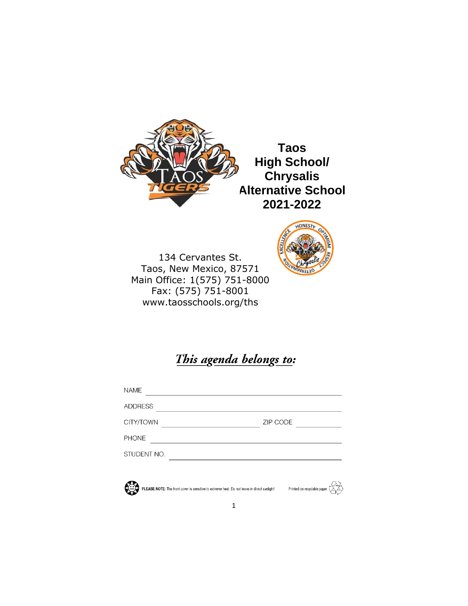

**Taos High School/ Chrysalis Alternative School 2021-2022**

134 Cervantes St. Taos, New Mexico, 87571 Main Office: 1(575) 751-8000 Fax: (575) 751-8001 www.taosschools.org/ths



This agenda belongs to:

| <b>NAME</b>    |          |
|----------------|----------|
| <b>ADDRESS</b> |          |
| CITY/TOWN      | ZIP CODE |
| <b>PHONE</b>   |          |
| STUDENT NO.    |          |
|                |          |



PLEASE NOTE: The front cover is sensitive to extreme heat. Do not leave in direct sunlight! Printed on recyclable paper

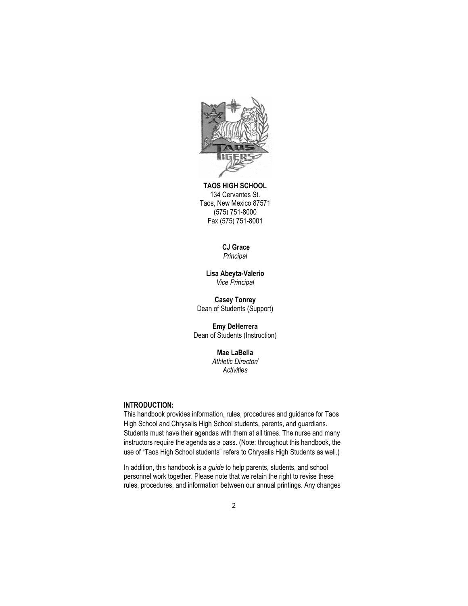

**TAOS HIGH SCHOOL** 134 Cervantes St. Taos, New Mexico 87571 (575) 751-8000 Fax (575) 751-8001

# **CJ Grace**

*Principal*

**Lisa Abeyta-Valerio** *Vice Principal*

**Casey Tonrey** Dean of Students (Support)

**Emy DeHerrera**  Dean of Students (Instruction)

> **Mae LaBella** *Athletic Director/ Activities*

# **INTRODUCTION:**

This handbook provides information, rules, procedures and guidance for Taos High School and Chrysalis High School students, parents, and guardians. Students must have their agendas with them at all times. The nurse and many instructors require the agenda as a pass. (Note: throughout this handbook, the use of "Taos High School students" refers to Chrysalis High Students as well.)

In addition, this handbook is a *guide* to help parents, students, and school personnel work together. Please note that we retain the right to revise these rules, procedures, and information between our annual printings. Any changes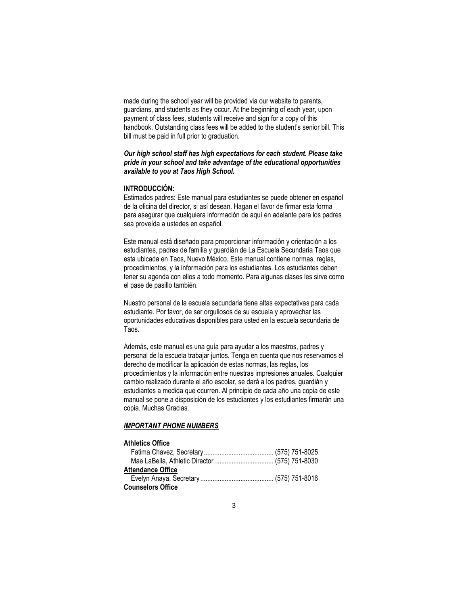made during the school year will be provided via our website to parents, guardians, and students as they occur. At the beginning of each year, upon payment of class fees, students will receive and sign for a copy of this handbook. Outstanding class fees will be added to the student's senior bill. This bill must be paid in full prior to graduation.

### *Our high school staff has high expectations for each student. Please take pride in your school and take advantage of the educational opportunities available to you at Taos High School.*

#### **INTRODUCCIÓN:**

Estimados padres: Este manual para estudiantes se puede obtener en español de la oficina del director, si así desean. Hagan el favor de firmar esta forma para asegurar que cualquiera información de aquí en adelante para los padres sea proveída a ustedes en español.

Este manual está diseñado para proporcionar información y orientación a los estudiantes, padres de familia y guardián de La Escuela Secundaria Taos que esta ubicada en Taos, Nuevo México. Este manual contiene normas, reglas, procedimientos, y la información para los estudiantes. Los estudiantes deben tener su agenda con ellos a todo momento. Para algunas clases les sirve como el pase de pasillo también.

Nuestro personal de la escuela secundaria tiene altas expectativas para cada estudiante. Por favor, de ser orgullosos de su escuela y aprovechar las oportunidades educativas disponibles para usted en la escuela secundaria de Taos.

Además, este manual es una guía para ayudar a los maestros, padres y personal de la escuela trabajar juntos. Tenga en cuenta que nos reservamos el derecho de modificar la aplicación de estas normas, las reglas, los procedimientos y la información entre nuestras impresiones anuales. Cualquier cambio realizado durante el año escolar, se dará a los padres, guardián y estudiantes a medida que ocurren. Al principio de cada año una copia de este manual se pone a disposición de los estudiantes y los estudiantes firmarán una copia. Muchas Gracias.

#### *IMPORTANT PHONE NUMBERS*

# **Athletics Office**

| <b>Attendance Office</b> |  |
|--------------------------|--|
|                          |  |
| <b>Counselors Office</b> |  |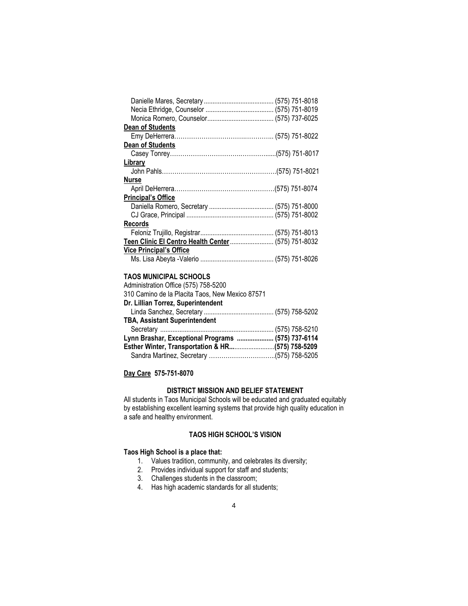| <b>Dean of Students</b>        |  |
|--------------------------------|--|
|                                |  |
| <b>Dean of Students</b>        |  |
|                                |  |
| Library                        |  |
|                                |  |
| <b>Nurse</b>                   |  |
|                                |  |
| <b>Principal's Office</b>      |  |
|                                |  |
|                                |  |
| <b>Records</b>                 |  |
|                                |  |
|                                |  |
| <b>Vice Principal's Office</b> |  |
|                                |  |

### **TAOS MUNICIPAL SCHOOLS**

| Lynn Brashar, Exceptional Programs  (575) 737-6114 |
|----------------------------------------------------|
|                                                    |
|                                                    |
|                                                    |

**Day Care 575-751-8070**

# **DISTRICT MISSION AND BELIEF STATEMENT**

All students in Taos Municipal Schools will be educated and graduated equitably by establishing excellent learning systems that provide high quality education in a safe and healthy environment.

# **TAOS HIGH SCHOOL'S VISION**

# **Taos High School is a place that:**

- 1. Values tradition, community, and celebrates its diversity;
- 2. Provides individual support for staff and students;
- 3. Challenges students in the classroom;
- 4. Has high academic standards for all students;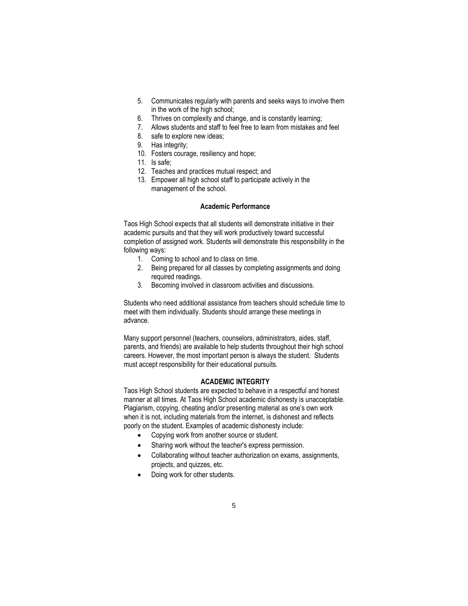- 5. Communicates regularly with parents and seeks ways to involve them in the work of the high school;
- 6. Thrives on complexity and change, and is constantly learning;
- 7. Allows students and staff to feel free to learn from mistakes and feel
- 8. safe to explore new ideas;
- 9. Has integrity;
- 10. Fosters courage, resiliency and hope;
- 11. Is safe;
- 12. Teaches and practices mutual respect; and
- 13. Empower all high school staff to participate actively in the management of the school.

### **Academic Performance**

Taos High School expects that all students will demonstrate initiative in their academic pursuits and that they will work productively toward successful completion of assigned work. Students will demonstrate this responsibility in the following ways:

- 1. Coming to school and to class on time.
- 2. Being prepared for all classes by completing assignments and doing required readings.
- 3. Becoming involved in classroom activities and discussions.

Students who need additional assistance from teachers should schedule time to meet with them individually. Students should arrange these meetings in advance.

Many support personnel (teachers, counselors, administrators, aides, staff, parents, and friends) are available to help students throughout their high school careers. However, the most important person is always the student. Students must accept responsibility for their educational pursuits.

#### **ACADEMIC INTEGRITY**

Taos High School students are expected to behave in a respectful and honest manner at all times. At Taos High School academic dishonesty is unacceptable. Plagiarism, copying, cheating and/or presenting material as one's own work when it is not, including materials from the internet, is dishonest and reflects poorly on the student. Examples of academic dishonesty include:

- Copying work from another source or student.
- Sharing work without the teacher's express permission.
- Collaborating without teacher authorization on exams, assignments, projects, and quizzes, etc.
- Doing work for other students.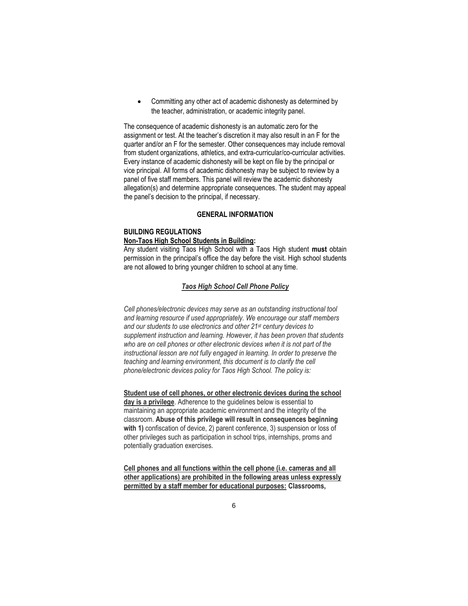• Committing any other act of academic dishonesty as determined by the teacher, administration, or academic integrity panel.

The consequence of academic dishonesty is an automatic zero for the assignment or test. At the teacher's discretion it may also result in an F for the quarter and/or an F for the semester. Other consequences may include removal from student organizations, athletics, and extra-curricular/co-curricular activities. Every instance of academic dishonesty will be kept on file by the principal or vice principal. All forms of academic dishonesty may be subject to review by a panel of five staff members. This panel will review the academic dishonesty allegation(s) and determine appropriate consequences. The student may appeal the panel's decision to the principal, if necessary.

### **GENERAL INFORMATION**

# **BUILDING REGULATIONS**

#### **Non-Taos High School Students in Building:**

Any student visiting Taos High School with a Taos High student **must** obtain permission in the principal's office the day before the visit. High school students are not allowed to bring younger children to school at any time.

### *Taos High School Cell Phone Policy*

*Cell phones/electronic devices may serve as an outstanding instructional tool and learning resource if used appropriately. We encourage our staff members and our students to use electronics and other 21st century devices to supplement instruction and learning. However, it has been proven that students who are on cell phones or other electronic devices when it is not part of the instructional lesson are not fully engaged in learning. In order to preserve the teaching and learning environment, this document is to clarify the cell phone/electronic devices policy for Taos High School. The policy is:*

**Student use of cell phones, or other electronic devices during the school day is a privilege**. Adherence to the guidelines below is essential to maintaining an appropriate academic environment and the integrity of the classroom. **Abuse of this privilege will result in consequences beginning with 1)** confiscation of device, 2) parent conference, 3) suspension or loss of other privileges such as participation in school trips, internships, proms and potentially graduation exercises.

**Cell phones and all functions within the cell phone (i.e. cameras and all other applications) are prohibited in the following areas unless expressly permitted by a staff member for educational purposes: Classrooms,**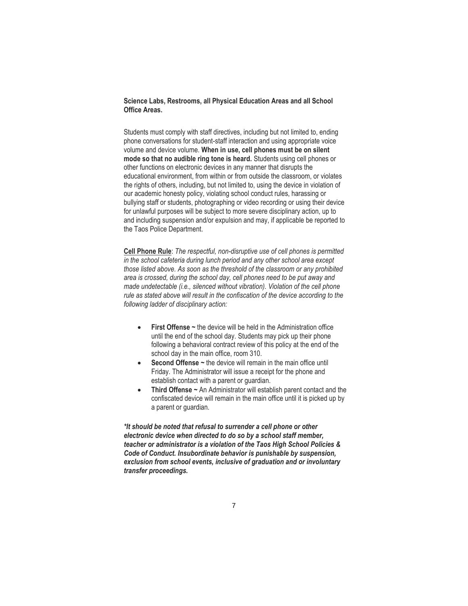**Science Labs, Restrooms, all Physical Education Areas and all School Office Areas.**

Students must comply with staff directives, including but not limited to, ending phone conversations for student-staff interaction and using appropriate voice volume and device volume. **When in use, cell phones must be on silent mode so that no audible ring tone is heard.** Students using cell phones or other functions on electronic devices in any manner that disrupts the educational environment, from within or from outside the classroom, or violates the rights of others, including, but not limited to, using the device in violation of our academic honesty policy, violating school conduct rules, harassing or bullying staff or students, photographing or video recording or using their device for unlawful purposes will be subject to more severe disciplinary action, up to and including suspension and/or expulsion and may, if applicable be reported to the Taos Police Department.

**Cell Phone Rule**: *The respectful, non-disruptive use of cell phones is permitted in the school cafeteria during lunch period and any other school area except those listed above. As soon as the threshold of the classroom or any prohibited area is crossed, during the school day, cell phones need to be put away and made undetectable (i.e., silenced without vibration). Violation of the cell phone rule as stated above will result in the confiscation of the device according to the following ladder of disciplinary action:*

- **First Offense** ~ the device will be held in the Administration office until the end of the school day. Students may pick up their phone following a behavioral contract review of this policy at the end of the school day in the main office, room 310.
- **Second Offense** ~ the device will remain in the main office until Friday. The Administrator will issue a receipt for the phone and establish contact with a parent or guardian.
- **Third Offense ~** An Administrator will establish parent contact and the confiscated device will remain in the main office until it is picked up by a parent or guardian.

*\*It should be noted that refusal to surrender a cell phone or other electronic device when directed to do so by a school staff member, teacher or administrator is a violation of the Taos High School Policies & Code of Conduct. Insubordinate behavior is punishable by suspension, exclusion from school events, inclusive of graduation and or involuntary transfer proceedings.*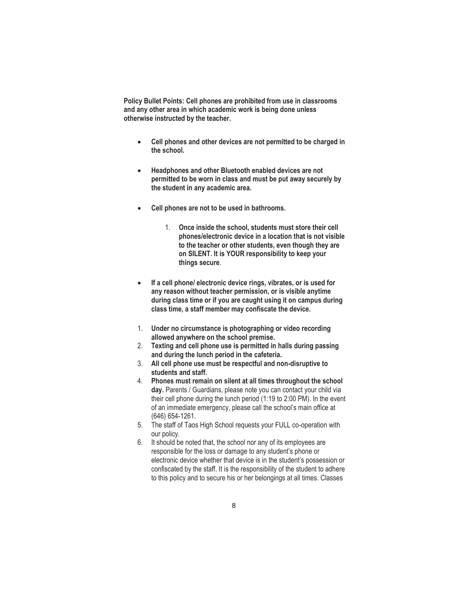**Policy Bullet Points: Cell phones are prohibited from use in classrooms and any other area in which academic work is being done unless otherwise instructed by the teacher.**

- **Cell phones and other devices are not permitted to be charged in the school.**
- **Headphones and other Bluetooth enabled devices are not permitted to be worn in class and must be put away securely by the student in any academic area.**
- **Cell phones are not to be used in bathrooms.**
	- 1. **Once inside the school, students must store their cell phones/electronic device in a location that is not visible to the teacher or other students, even though they are on SILENT. It is YOUR responsibility to keep your things secure**.
- **If a cell phone/ electronic device rings, vibrates, or is used for any reason without teacher permission, or is visible anytime during class time or if you are caught using it on campus during class time, a staff member may confiscate the device.**
- 1. **Under no circumstance is photographing or video recording allowed anywhere on the school premise.**
- 2. **Texting and cell phone use is permitted in halls during passing and during the lunch period in the cafeteria.**
- 3. **All cell phone use must be respectful and non-disruptive to students and staff.**
- 4. **Phones must remain on silent at all times throughout the school day.** Parents / Guardians, please note you can contact your child via their cell phone during the lunch period (1:19 to 2:00 PM). In the event of an immediate emergency, please call the school's main office at (646) 654-1261.
- 5. The staff of Taos High School requests your FULL co-operation with our policy.
- 6. It should be noted that, the school nor any of its employees are responsible for the loss or damage to any student's phone or electronic device whether that device is in the student's possession or confiscated by the staff. It is the responsibility of the student to adhere to this policy and to secure his or her belongings at all times. Classes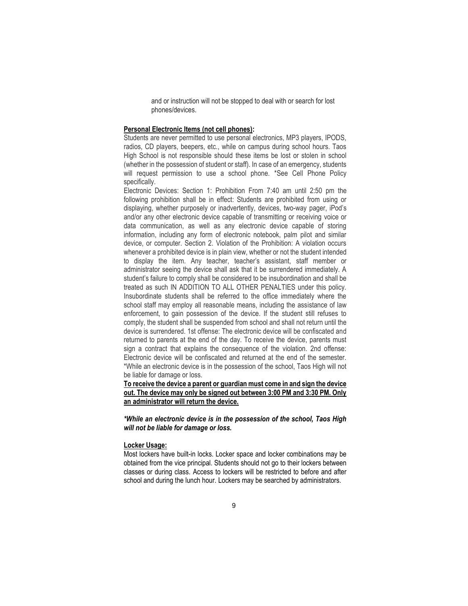and or instruction will not be stopped to deal with or search for lost phones/devices.

#### **Personal Electronic Items (not cell phones):**

Students are never permitted to use personal electronics, MP3 players, IPODS, radios, CD players, beepers, etc., while on campus during school hours. Taos High School is not responsible should these items be lost or stolen in school (whether in the possession of student or staff). In case of an emergency, students will request permission to use a school phone. \*See Cell Phone Policy specifically.

Electronic Devices: Section 1: Prohibition From 7:40 am until 2:50 pm the following prohibition shall be in effect: Students are prohibited from using or displaying, whether purposely or inadvertently, devices, two-way pager, iPod's and/or any other electronic device capable of transmitting or receiving voice or data communication, as well as any electronic device capable of storing information, including any form of electronic notebook, palm pilot and similar device, or computer. Section 2. Violation of the Prohibition: A violation occurs whenever a prohibited device is in plain view, whether or not the student intended to display the item. Any teacher, teacher's assistant, staff member or administrator seeing the device shall ask that it be surrendered immediately. A student's failure to comply shall be considered to be insubordination and shall be treated as such IN ADDITION TO ALL OTHER PENALTIES under this policy. Insubordinate students shall be referred to the office immediately where the school staff may employ all reasonable means, including the assistance of law enforcement, to gain possession of the device. If the student still refuses to comply, the student shall be suspended from school and shall not return until the device is surrendered. 1st offense: The electronic device will be confiscated and returned to parents at the end of the day. To receive the device, parents must sign a contract that explains the consequence of the violation. 2nd offense: Electronic device will be confiscated and returned at the end of the semester. \*While an electronic device is in the possession of the school, Taos High will not be liable for damage or loss.

**To receive the device a parent or guardian must come in and sign the device out. The device may only be signed out between 3:00 PM and 3:30 PM. Only an administrator will return the device.**

*\*While an electronic device is in the possession of the school, Taos High will not be liable for damage or loss.*

#### **Locker Usage:**

Most lockers have built-in locks. Locker space and locker combinations may be obtained from the vice principal. Students should not go to their lockers between classes or during class. Access to lockers will be restricted to before and after school and during the lunch hour. Lockers may be searched by administrators.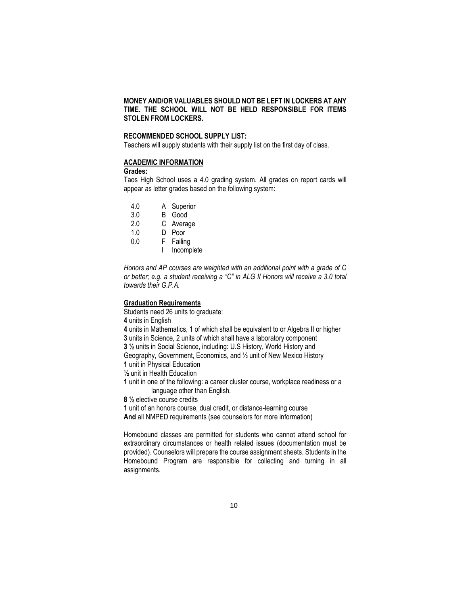# **MONEY AND/OR VALUABLES SHOULD NOT BE LEFT IN LOCKERS AT ANY TIME. THE SCHOOL WILL NOT BE HELD RESPONSIBLE FOR ITEMS STOLEN FROM LOCKERS.**

### **RECOMMENDED SCHOOL SUPPLY LIST:**

Teachers will supply students with their supply list on the first day of class.

# **ACADEMIC INFORMATION**

#### **Grades:**

Taos High School uses a 4.0 grading system. All grades on report cards will appear as letter grades based on the following system:

- 4.0 A Superior<br>3.0 B Good
- B Good
- 2.0 C Average
- 1.0 D Poor
- 0.0 F Failing
	- I Incomplete

*Honors and AP courses are weighted with an additional point with a grade of C or better; e.g. a student receiving a "C" in ALG II Honors will receive a 3.0 total towards their G.P.A.*

### **Graduation Requirements**

Students need 26 units to graduate: **4** units in English **4** units in Mathematics, 1 of which shall be equivalent to or Algebra II or higher **3** units in Science, 2 units of which shall have a laboratory component **3 ½** units in Social Science, including: U.S History, World History and Geography, Government, Economics, and ½ unit of New Mexico History **1** unit in Physical Education **½** unit in Health Education **1** unit in one of the following: a career cluster course, workplace readiness or a language other than English. **8 ½** elective course credits **1** unit of an honors course, dual credit, or distance-learning course **And** all NMPED requirements (see counselors for more information)

Homebound classes are permitted for students who cannot attend school for extraordinary circumstances or health related issues (documentation must be provided). Counselors will prepare the course assignment sheets. Students in the Homebound Program are responsible for collecting and turning in all assignments.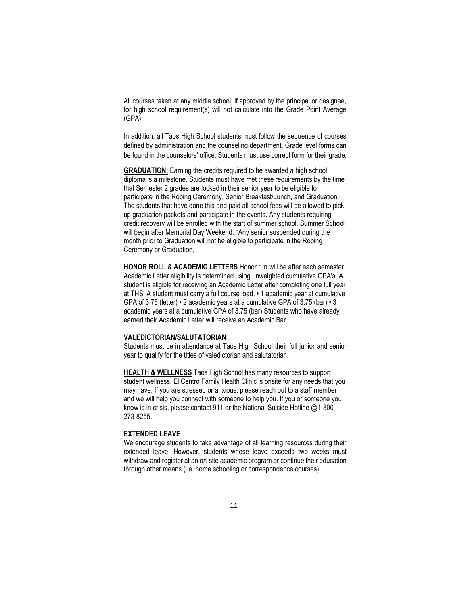All courses taken at any middle school, if approved by the principal or designee, for high school requirement(s) will not calculate into the Grade Point Average (GPA).

In addition, all Taos High School students must follow the sequence of courses defined by administration and the counseling department. Grade level forms can be found in the counselors' office. Students must use correct form for their grade.

**GRADUATION:** Earning the credits required to be awarded a high school diploma is a milestone. Students must have met these requirements by the time that Semester 2 grades are locked in their senior year to be eligible to participate in the Robing Ceremony, Senior Breakfast/Lunch, and Graduation. The students that have done this and paid all school fees will be allowed to pick up graduation packets and participate in the events. Any students requiring credit recovery will be enrolled with the start of summer school. Summer School will begin after Memorial Day Weekend. \*Any senior suspended during the month prior to Graduation will not be eligible to participate in the Robing Ceremony or Graduation.

**HONOR ROLL & ACADEMIC LETTERS** Honor run will be after each semester. Academic Letter eligibility is determined using unweighted cumulative GPA's. A student is eligible for receiving an Academic Letter after completing one full year at THS. A student must carry a full course load. • 1 academic year at cumulative GPA of 3.75 (letter) • 2 academic years at a cumulative GPA of 3.75 (bar) • 3 academic years at a cumulative GPA of 3.75 (bar) Students who have already earned their Academic Letter will receive an Academic Bar.

#### **VALEDICTORIAN/SALUTATORIAN**

Students must be in attendance at Taos High School their full junior and senior year to qualify for the titles of valedictorian and salutatorian.

**HEALTH & WELLNESS** Taos High School has many resources to support student wellness. El Centro Family Health Clinic is onsite for any needs that you may have. If you are stressed or anxious, please reach out to a staff member and we will help you connect with someone to help you. If you or someone you know is in crisis, please contact 911 or the National Suicide Hotline @1-800- 273-8255.

#### **EXTENDED LEAVE**

We encourage students to take advantage of all learning resources during their extended leave. However, students whose leave exceeds two weeks must withdraw and register at an on-site academic program or continue their education through other means (i.e. home schooling or correspondence courses).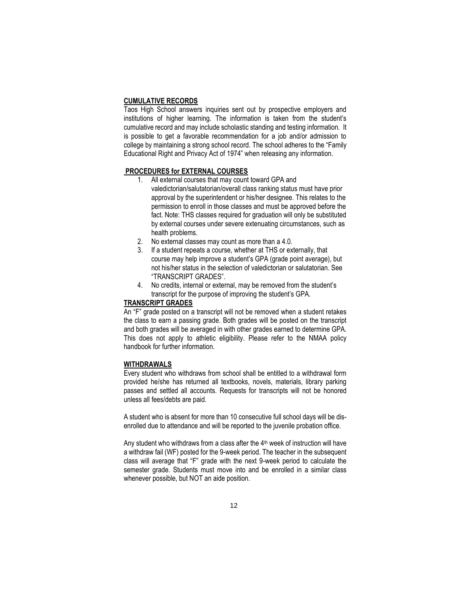#### **CUMULATIVE RECORDS**

Taos High School answers inquiries sent out by prospective employers and institutions of higher learning. The information is taken from the student's cumulative record and may include scholastic standing and testing information. It is possible to get a favorable recommendation for a job and/or admission to college by maintaining a strong school record. The school adheres to the "Family Educational Right and Privacy Act of 1974" when releasing any information.

#### **PROCEDURES for EXTERNAL COURSES**

- 1. All external courses that may count toward GPA and valedictorian/salutatorian/overall class ranking status must have prior approval by the superintendent or his/her designee. This relates to the permission to enroll in those classes and must be approved before the fact. Note: THS classes required for graduation will only be substituted by external courses under severe extenuating circumstances, such as health problems.
- 2. No external classes may count as more than a 4.0.
- 3. If a student repeats a course, whether at THS or externally, that course may help improve a student's GPA (grade point average), but not his/her status in the selection of valedictorian or salutatorian. See "TRANSCRIPT GRADES".
- 4. No credits, internal or external, may be removed from the student's transcript for the purpose of improving the student's GPA.

#### **TRANSCRIPT GRADES**

An "F" grade posted on a transcript will not be removed when a student retakes the class to earn a passing grade. Both grades will be posted on the transcript and both grades will be averaged in with other grades earned to determine GPA. This does not apply to athletic eligibility. Please refer to the NMAA policy handbook for further information.

#### **WITHDRAWALS**

Every student who withdraws from school shall be entitled to a withdrawal form provided he/she has returned all textbooks, novels, materials, library parking passes and settled all accounts. Requests for transcripts will not be honored unless all fees/debts are paid.

A student who is absent for more than 10 consecutive full school days will be disenrolled due to attendance and will be reported to the juvenile probation office.

Any student who withdraws from a class after the  $4<sup>th</sup>$  week of instruction will have a withdraw fail (WF) posted for the 9-week period. The teacher in the subsequent class will average that "F" grade with the next 9-week period to calculate the semester grade. Students must move into and be enrolled in a similar class whenever possible, but NOT an aide position.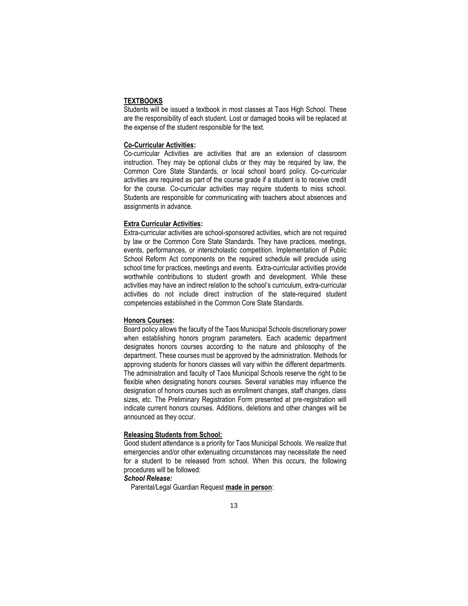### **TEXTBOOKS**

Students will be issued a textbook in most classes at Taos High School. These are the responsibility of each student. Lost or damaged books will be replaced at the expense of the student responsible for the text.

#### **Co-Curricular Activities:**

Co-curricular Activities are activities that are an extension of classroom instruction. They may be optional clubs or they may be required by law, the Common Core State Standards, or local school board policy. Co-curricular activities are required as part of the course grade if a student is to receive credit for the course. Co-curricular activities may require students to miss school. Students are responsible for communicating with teachers about absences and assignments in advance.

#### **Extra Curricular Activities:**

Extra-curricular activities are school-sponsored activities, which are not required by law or the Common Core State Standards. They have practices, meetings, events, performances, or interscholastic competition. Implementation of Public School Reform Act components on the required schedule will preclude using school time for practices, meetings and events. Extra-curricular activities provide worthwhile contributions to student growth and development. While these activities may have an indirect relation to the school's curriculum, extra-curricular activities do not include direct instruction of the state-required student competencies established in the Common Core State Standards.

#### **Honors Courses:**

Board policy allows the faculty of the Taos Municipal Schools discretionary power when establishing honors program parameters. Each academic department designates honors courses according to the nature and philosophy of the department. These courses must be approved by the administration. Methods for approving students for honors classes will vary within the different departments. The administration and faculty of Taos Municipal Schools reserve the right to be flexible when designating honors courses. Several variables may influence the designation of honors courses such as enrollment changes, staff changes, class sizes, etc. The Preliminary Registration Form presented at pre-registration will indicate current honors courses. Additions, deletions and other changes will be announced as they occur.

#### **Releasing Students from School:**

Good student attendance is a priority for Taos Municipal Schools. We realize that emergencies and/or other extenuating circumstances may necessitate the need for a student to be released from school. When this occurs, the following procedures will be followed:

### *School Release:*

Parental/Legal Guardian Request **made in person**: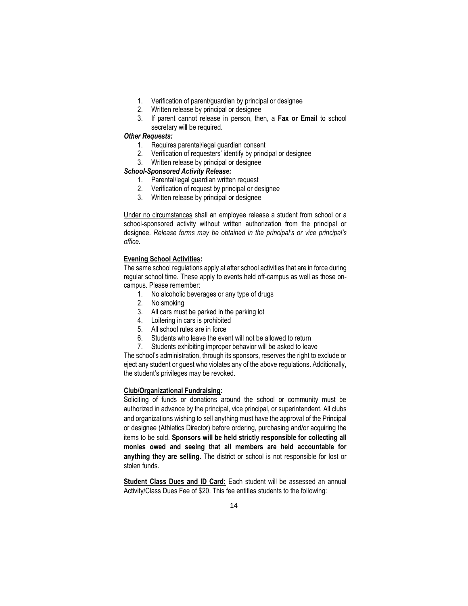- 1. Verification of parent/guardian by principal or designee
- 2. Written release by principal or designee
- 3. If parent cannot release in person, then, a **Fax or Email** to school secretary will be required.

#### *Other Requests:*

- 1. Requires parental/legal guardian consent
- 2. Verification of requesters' identify by principal or designee
- 3. Written release by principal or designee

### *School-Sponsored Activity Release:*

- 1. Parental/legal guardian written request
- 2. Verification of request by principal or designee
- 3. Written release by principal or designee

Under no circumstances shall an employee release a student from school or a school-sponsored activity without written authorization from the principal or designee. *Release forms may be obtained in the principal's or vice principal's office.*

#### **Evening School Activities:**

The same school regulations apply at after school activities that are in force during regular school time. These apply to events held off-campus as well as those oncampus. Please remember:

- 1. No alcoholic beverages or any type of drugs
- 2. No smoking
- 3. All cars must be parked in the parking lot
- 4. Loitering in cars is prohibited
- 5. All school rules are in force
- 6. Students who leave the event will not be allowed to return
- 7. Students exhibiting improper behavior will be asked to leave

The school's administration, through its sponsors, reserves the right to exclude or eject any student or guest who violates any of the above regulations. Additionally, the student's privileges may be revoked.

#### **Club/Organizational Fundraising:**

Soliciting of funds or donations around the school or community must be authorized in advance by the principal, vice principal, or superintendent. All clubs and organizations wishing to sell anything must have the approval of the Principal or designee (Athletics Director) before ordering, purchasing and/or acquiring the items to be sold. **Sponsors will be held strictly responsible for collecting all monies owed and seeing that all members are held accountable for anything they are selling.** The district or school is not responsible for lost or stolen funds.

**Student Class Dues and ID Card:** Each student will be assessed an annual Activity/Class Dues Fee of \$20. This fee entitles students to the following: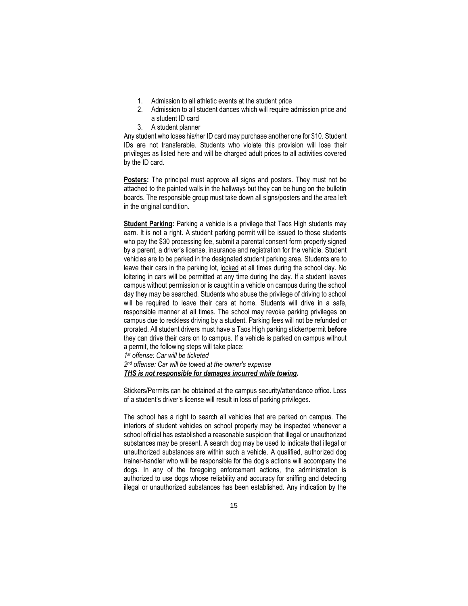- 1. Admission to all athletic events at the student price
- 2. Admission to all student dances which will require admission price and a student ID card
- 3. A student planner

Any student who loses his/her ID card may purchase another one for \$10. Student IDs are not transferable. Students who violate this provision will lose their privileges as listed here and will be charged adult prices to all activities covered by the ID card.

**Posters:** The principal must approve all signs and posters. They must not be attached to the painted walls in the hallways but they can be hung on the bulletin boards. The responsible group must take down all signs/posters and the area left in the original condition.

**Student Parking:** Parking a vehicle is a privilege that Taos High students may earn. It is not a right. A student parking permit will be issued to those students who pay the \$30 processing fee, submit a parental consent form properly signed by a parent, a driver's license, insurance and registration for the vehicle. Student vehicles are to be parked in the designated student parking area. Students are to leave their cars in the parking lot, locked at all times during the school day. No loitering in cars will be permitted at any time during the day. If a student leaves campus without permission or is caught in a vehicle on campus during the school day they may be searched. Students who abuse the privilege of driving to school will be required to leave their cars at home. Students will drive in a safe, responsible manner at all times. The school may revoke parking privileges on campus due to reckless driving by a student. Parking fees will not be refunded or prorated. All student drivers must have a Taos High parking sticker/permit **before** they can drive their cars on to campus. If a vehicle is parked on campus without a permit, the following steps will take place:

*1 st offense: Car will be ticketed* 

*2 nd offense: Car will be towed at the owner's expense THS is not responsible for damages incurred while towing.*

Stickers/Permits can be obtained at the campus security/attendance office. Loss of a student's driver's license will result in loss of parking privileges.

The school has a right to search all vehicles that are parked on campus. The interiors of student vehicles on school property may be inspected whenever a school official has established a reasonable suspicion that illegal or unauthorized substances may be present. A search dog may be used to indicate that illegal or unauthorized substances are within such a vehicle. A qualified, authorized dog trainer-handler who will be responsible for the dog's actions will accompany the dogs. In any of the foregoing enforcement actions, the administration is authorized to use dogs whose reliability and accuracy for sniffing and detecting illegal or unauthorized substances has been established. Any indication by the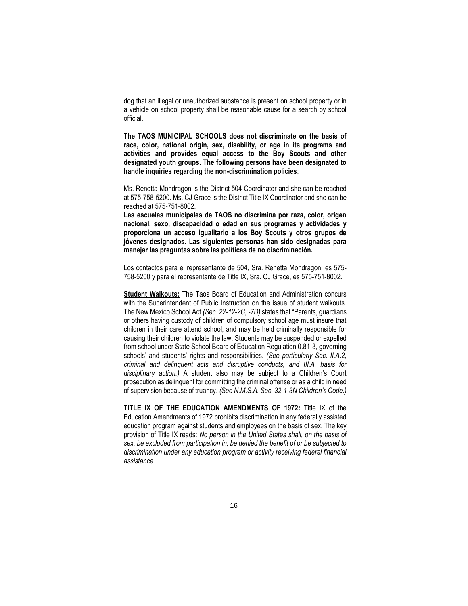dog that an illegal or unauthorized substance is present on school property or in a vehicle on school property shall be reasonable cause for a search by school official.

**The TAOS MUNICIPAL SCHOOLS does not discriminate on the basis of race, color, national origin, sex, disability, or age in its programs and activities and provides equal access to the Boy Scouts and other designated youth groups. The following persons have been designated to handle inquiries regarding the non-discrimination policies**:

Ms. Renetta Mondragon is the District 504 Coordinator and she can be reached at 575-758-5200. Ms. CJ Grace is the District Title IX Coordinator and she can be reached at 575-751-8002.

**Las escuelas municipales de TAOS no discrimina por raza, color, origen nacional, sexo, discapacidad o edad en sus programas y actividades y proporciona un acceso igualitario a los Boy Scouts y otros grupos de jóvenes designados. Las siguientes personas han sido designadas para manejar las preguntas sobre las políticas de no discriminación.**

Los contactos para el representante de 504, Sra. Renetta Mondragon, es 575- 758-5200 y para el representante de Title IX, Sra. CJ Grace, es 575-751-8002.

**Student Walkouts:** The Taos Board of Education and Administration concurs with the Superintendent of Public Instruction on the issue of student walkouts. The New Mexico School Act *(Sec. 22-12-2C, -7D)* states that "Parents, guardians or others having custody of children of compulsory school age must insure that children in their care attend school, and may be held criminally responsible for causing their children to violate the law. Students may be suspended or expelled from school under State School Board of Education Regulation 0.81-3, governing schools' and students' rights and responsibilities. *(See particularly Sec. II.A.2, criminal and delinquent acts and disruptive conducts, and III.A, basis for disciplinary action.)* A student also may be subject to a Children's Court prosecution as delinquent for committing the criminal offense or as a child in need of supervision because of truancy. *(See N.M.S.A. Sec. 32-1-3N Children's Code.)*

**TITLE IX OF THE EDUCATION AMENDMENTS OF 1972:** Title IX of the Education Amendments of 1972 prohibits discrimination in any federally assisted education program against students and employees on the basis of sex. The key provision of Title IX reads: *No person in the United States shall, on the basis of sex, be excluded from participation in, be denied the benefit of or be subjected to discrimination under any education program or activity receiving federal financial assistance.*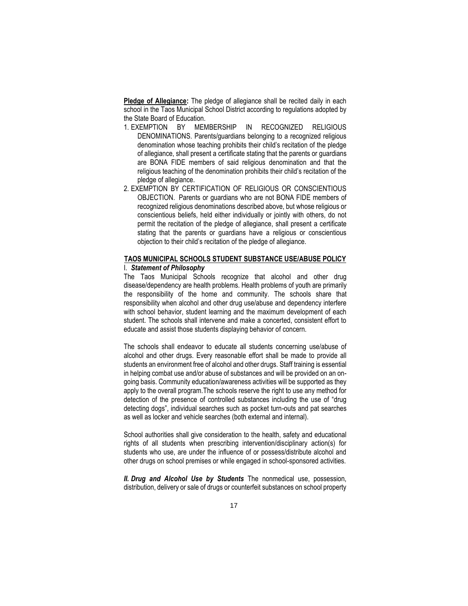**Pledge of Allegiance:** The pledge of allegiance shall be recited daily in each school in the Taos Municipal School District according to regulations adopted by the State Board of Education.

- 1. EXEMPTION BY MEMBERSHIP IN RECOGNIZED RELIGIOUS DENOMINATIONS. Parents/guardians belonging to a recognized religious denomination whose teaching prohibits their child's recitation of the pledge of allegiance, shall present a certificate stating that the parents or guardians are BONA FIDE members of said religious denomination and that the religious teaching of the denomination prohibits their child's recitation of the pledge of allegiance.
- 2. EXEMPTION BY CERTIFICATION OF RELIGIOUS OR CONSCIENTIOUS OBJECTION. Parents or guardians who are not BONA FIDE members of recognized religious denominations described above, but whose religious or conscientious beliefs, held either individually or jointly with others, do not permit the recitation of the pledge of allegiance, shall present a certificate stating that the parents or guardians have a religious or conscientious objection to their child's recitation of the pledge of allegiance.

#### **TAOS MUNICIPAL SCHOOLS STUDENT SUBSTANCE USE/ABUSE POLICY** I. *Statement of Philosophy*

The Taos Municipal Schools recognize that alcohol and other drug disease/dependency are health problems. Health problems of youth are primarily the responsibility of the home and community. The schools share that responsibility when alcohol and other drug use/abuse and dependency interfere with school behavior, student learning and the maximum development of each student. The schools shall intervene and make a concerted, consistent effort to educate and assist those students displaying behavior of concern.

The schools shall endeavor to educate all students concerning use/abuse of alcohol and other drugs. Every reasonable effort shall be made to provide all students an environment free of alcohol and other drugs. Staff training is essential in helping combat use and/or abuse of substances and will be provided on an ongoing basis. Community education/awareness activities will be supported as they apply to the overall program.The schools reserve the right to use any method for detection of the presence of controlled substances including the use of "drug detecting dogs", individual searches such as pocket turn-outs and pat searches as well as locker and vehicle searches (both external and internal).

School authorities shall give consideration to the health, safety and educational rights of all students when prescribing intervention/disciplinary action(s) for students who use, are under the influence of or possess/distribute alcohol and other drugs on school premises or while engaged in school-sponsored activities.

*II. Drug and Alcohol Use by Students* The nonmedical use, possession, distribution, delivery or sale of drugs or counterfeit substances on school property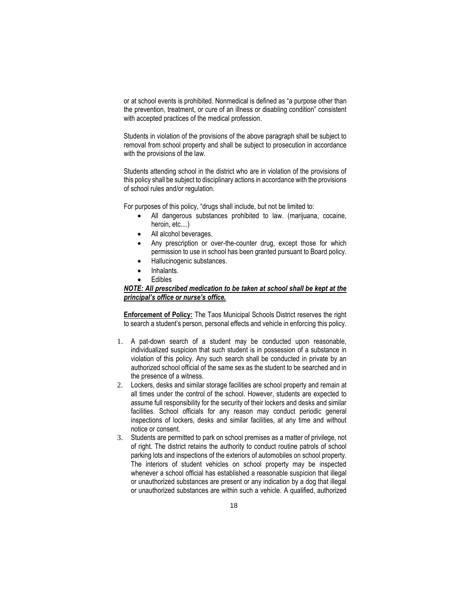or at school events is prohibited. Nonmedical is defined as "a purpose other than the prevention, treatment, or cure of an illness or disabling condition" consistent with accepted practices of the medical profession.

Students in violation of the provisions of the above paragraph shall be subject to removal from school property and shall be subject to prosecution in accordance with the provisions of the law.

Students attending school in the district who are in violation of the provisions of this policy shall be subject to disciplinary actions in accordance with the provisions of school rules and/or regulation.

For purposes of this policy, "drugs shall include, but not be limited to:

- All dangerous substances prohibited to law. (marijuana, cocaine, heroin, etc....)
- All alcohol beverages.
- Any prescription or over-the-counter drug, except those for which permission to use in school has been granted pursuant to Board policy.
- Hallucinogenic substances.
- Inhalants.
- **Edibles**

### *NOTE: All prescribed medication to be taken at school shall be kept at the principal's office or nurse's office.*

**Enforcement of Policy:** The Taos Municipal Schools District reserves the right to search a student's person, personal effects and vehicle in enforcing this policy.

- 1. A pat-down search of a student may be conducted upon reasonable, individualized suspicion that such student is in possession of a substance in violation of this policy. Any such search shall be conducted in private by an authorized school official of the same sex as the student to be searched and in the presence of a witness.
- 2. Lockers, desks and similar storage facilities are school property and remain at all times under the control of the school. However, students are expected to assume full responsibility for the security of their lockers and desks and similar facilities. School officials for any reason may conduct periodic general inspections of lockers, desks and similar facilities, at any time and without notice or consent.
- 3. Students are permitted to park on school premises as a matter of privilege, not of right. The district retains the authority to conduct routine patrols of school parking lots and inspections of the exteriors of automobiles on school property. The interiors of student vehicles on school property may be inspected whenever a school official has established a reasonable suspicion that illegal or unauthorized substances are present or any indication by a dog that illegal or unauthorized substances are within such a vehicle. A qualified, authorized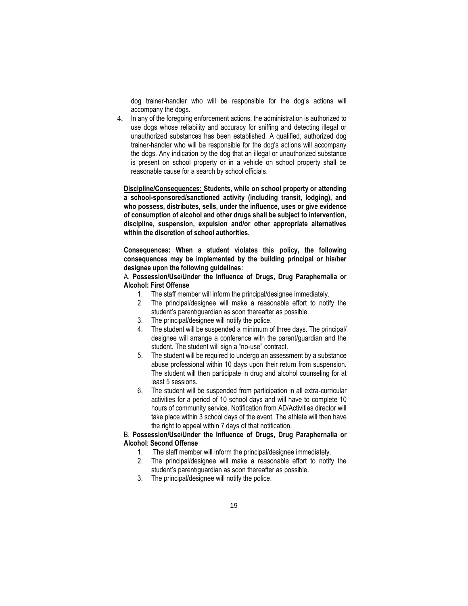dog trainer-handler who will be responsible for the dog's actions will accompany the dogs.

4. In any of the foregoing enforcement actions, the administration is authorized to use dogs whose reliability and accuracy for sniffing and detecting illegal or unauthorized substances has been established. A qualified, authorized dog trainer-handler who will be responsible for the dog's actions will accompany the dogs. Any indication by the dog that an illegal or unauthorized substance is present on school property or in a vehicle on school property shall be reasonable cause for a search by school officials.

**Discipline/Consequences: Students, while on school property or attending a school-sponsored/sanctioned activity (including transit, lodging), and who possess, distributes, sells, under the influence, uses or give evidence of consumption of alcohol and other drugs shall be subject to intervention, discipline, suspension, expulsion and/or other appropriate alternatives within the discretion of school authorities.** 

**Consequences: When a student violates this policy, the following consequences may be implemented by the building principal or his/her designee upon the following guidelines:**

A. **Possession/Use/Under the Influence of Drugs, Drug Paraphernalia or Alcohol: First Offense**

- 1. The staff member will inform the principal/designee immediately.
- 2. The principal/designee will make a reasonable effort to notify the student's parent/guardian as soon thereafter as possible.
- 3. The principal/designee will notify the police.
- 4. The student will be suspended a minimum of three days. The principal/ designee will arrange a conference with the parent/guardian and the student. The student will sign a "no-use" contract.
- 5. The student will be required to undergo an assessment by a substance abuse professional within 10 days upon their return from suspension. The student will then participate in drug and alcohol counseling for at least 5 sessions.
- 6. The student will be suspended from participation in all extra-curricular activities for a period of 10 school days and will have to complete 10 hours of community service. Notification from AD/Activities director will take place within 3 school days of the event. The athlete will then have the right to appeal within 7 days of that notification.

# B. **Possession/Use/Under the Influence of Drugs, Drug Paraphernalia or Alcohol**: **Second Offense**

- 1. The staff member will inform the principal/designee immediately.
- 2. The principal/designee will make a reasonable effort to notify the student's parent/guardian as soon thereafter as possible.
- 3. The principal/designee will notify the police.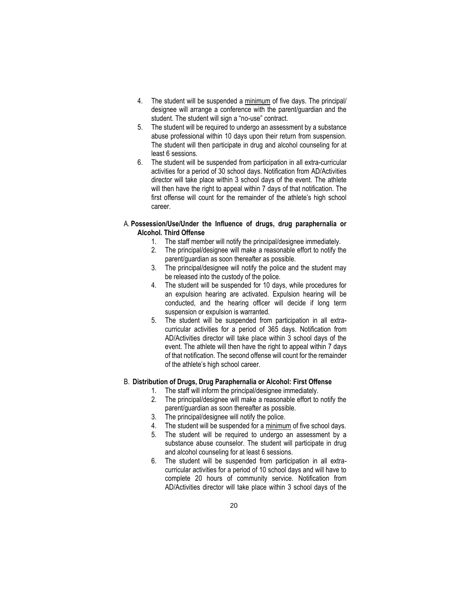- 4. The student will be suspended a minimum of five days. The principal/ designee will arrange a conference with the parent/guardian and the student. The student will sign a "no-use" contract.
- 5. The student will be required to undergo an assessment by a substance abuse professional within 10 days upon their return from suspension. The student will then participate in drug and alcohol counseling for at least 6 sessions.
- 6. The student will be suspended from participation in all extra-curricular activities for a period of 30 school days. Notification from AD/Activities director will take place within 3 school days of the event. The athlete will then have the right to appeal within 7 days of that notification. The first offense will count for the remainder of the athlete's high school career.

### A. **Possession/Use/Under the Influence of drugs, drug paraphernalia or Alcohol. Third Offense**

- 1. The staff member will notify the principal/designee immediately.
- 2. The principal/designee will make a reasonable effort to notify the parent/guardian as soon thereafter as possible.
- 3. The principal/designee will notify the police and the student may be released into the custody of the police.
- 4. The student will be suspended for 10 days, while procedures for an expulsion hearing are activated. Expulsion hearing will be conducted, and the hearing officer will decide if long term suspension or expulsion is warranted.
- 5. The student will be suspended from participation in all extracurricular activities for a period of 365 days. Notification from AD/Activities director will take place within 3 school days of the event. The athlete will then have the right to appeal within 7 days of that notification. The second offense will count for the remainder of the athlete's high school career.

# B. **Distribution of Drugs, Drug Paraphernalia or Alcohol: First Offense**

- 1. The staff will inform the principal/designee immediately.
- 2. The principal/designee will make a reasonable effort to notify the parent/guardian as soon thereafter as possible.
- 3. The principal/designee will notify the police.
- 4. The student will be suspended for a minimum of five school days.
- 5. The student will be required to undergo an assessment by a substance abuse counselor. The student will participate in drug and alcohol counseling for at least 6 sessions.
- 6. The student will be suspended from participation in all extracurricular activities for a period of 10 school days and will have to complete 20 hours of community service. Notification from AD/Activities director will take place within 3 school days of the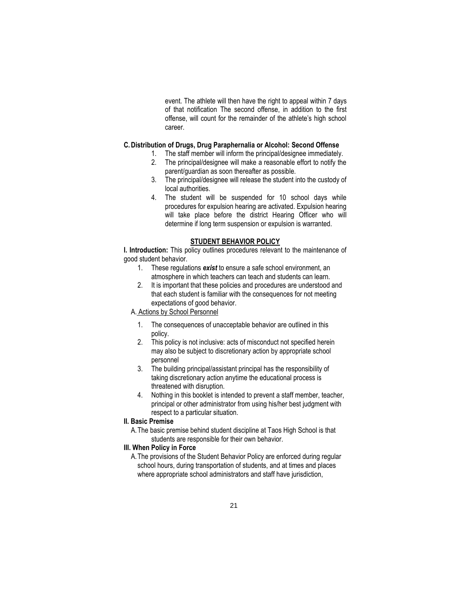event. The athlete will then have the right to appeal within 7 days of that notification The second offense, in addition to the first offense, will count for the remainder of the athlete's high school career.

### **C.Distribution of Drugs, Drug Paraphernalia or Alcohol: Second Offense**

- 1. The staff member will inform the principal/designee immediately.
- 2. The principal/designee will make a reasonable effort to notify the parent/guardian as soon thereafter as possible.
- 3. The principal/designee will release the student into the custody of local authorities.
- 4. The student will be suspended for 10 school days while procedures for expulsion hearing are activated. Expulsion hearing will take place before the district Hearing Officer who will determine if long term suspension or expulsion is warranted.

#### **STUDENT BEHAVIOR POLICY**

**I. Introduction:** This policy outlines procedures relevant to the maintenance of good student behavior.

- 1. These regulations *exist* to ensure a safe school environment, an atmosphere in which teachers can teach and students can learn.
- 2. It is important that these policies and procedures are understood and that each student is familiar with the consequences for not meeting expectations of good behavior.

# A. Actions by School Personnel

- 1. The consequences of unacceptable behavior are outlined in this policy.
- 2. This policy is not inclusive: acts of misconduct not specified herein may also be subject to discretionary action by appropriate school personnel
- 3. The building principal/assistant principal has the responsibility of taking discretionary action anytime the educational process is threatened with disruption.
- 4. Nothing in this booklet is intended to prevent a staff member, teacher, principal or other administrator from using his/her best judgment with respect to a particular situation.

# **II. Basic Premise**

A.The basic premise behind student discipline at Taos High School is that students are responsible for their own behavior.

#### **III. When Policy in Force**

A.The provisions of the Student Behavior Policy are enforced during regular school hours, during transportation of students, and at times and places where appropriate school administrators and staff have jurisdiction,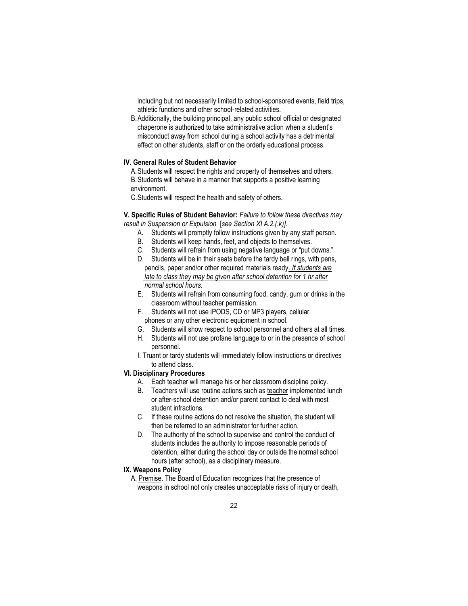including but not necessarily limited to school-sponsored events, field trips, athletic functions and other school-related activities.

B.Additionally, the building principal, any public school official or designated chaperone is authorized to take administrative action when a student's misconduct away from school during a school activity has a detrimental effect on other students, staff or on the orderly educational process.

### **IV. General Rules of Student Behavior**

A.Students will respect the rights and property of themselves and others. B.Students will behave in a manner that supports a positive learning environment.

C.Students will respect the health and safety of others.

**V. Specific Rules of Student Behavior:** *Failure to follow these directives may result in Suspension or Expulsion* [*see Section XI A.2.(.k)].*

- A. Students will promptly follow instructions given by any staff person.
- B. Students will keep hands, feet, and objects to themselves.
- C. Students will refrain from using negative language or "put downs."
- D. Students will be in their seats before the tardy bell rings, with pens, pencils, paper and/or other required materials ready*. If students are late to class they may be given after school detention for 1 hr after normal school hours.*
- E. Students will refrain from consuming food, candy, gum or drinks in the classroom without teacher permission.
- F. Students will not use iPODS, CD or MP3 players, cellular phones or any other electronic equipment in school.
- G. Students will show respect to school personnel and others at all times.
- H. Students will not use profane language to or in the presence of school personnel.
- I. Truant or tardy students will immediately follow instructions or directives to attend class.

### **VI. Disciplinary Procedures**

- A. Each teacher will manage his or her classroom discipline policy.
- B. Teachers will use routine actions such as teacher implemented lunch or after-school detention and/or parent contact to deal with most student infractions.
- C. If these routine actions do not resolve the situation, the student will then be referred to an administrator for further action.
- D. The authority of the school to supervise and control the conduct of students includes the authority to impose reasonable periods of detention, either during the school day or outside the normal school hours (after school), as a disciplinary measure.

#### **IX. Weapons Policy**

A. Premise. The Board of Education recognizes that the presence of weapons in school not only creates unacceptable risks of injury or death,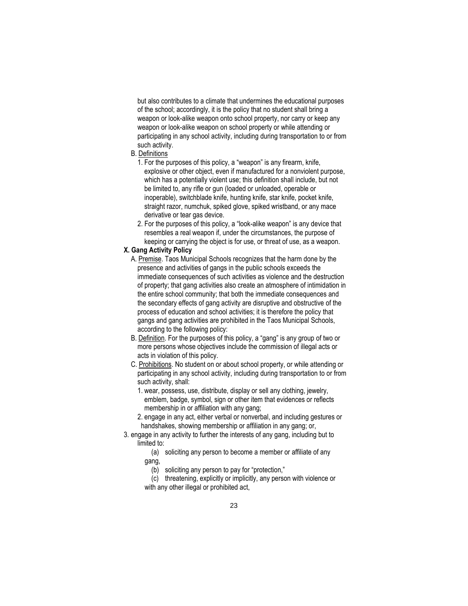but also contributes to a climate that undermines the educational purposes of the school; accordingly, it is the policy that no student shall bring a weapon or look-alike weapon onto school property, nor carry or keep any weapon or look-alike weapon on school property or while attending or participating in any school activity, including during transportation to or from such activity.

- B. Definitions
	- 1. For the purposes of this policy, a "weapon" is any firearm, knife, explosive or other object, even if manufactured for a nonviolent purpose, which has a potentially violent use; this definition shall include, but not be limited to, any rifle or gun (loaded or unloaded, operable or inoperable), switchblade knife, hunting knife, star knife, pocket knife, straight razor, numchuk, spiked glove, spiked wristband, or any mace derivative or tear gas device.
	- 2. For the purposes of this policy, a "look-alike weapon" is any device that resembles a real weapon if, under the circumstances, the purpose of keeping or carrying the object is for use, or threat of use, as a weapon.

# **X. Gang Activity Policy**

- A. Premise. Taos Municipal Schools recognizes that the harm done by the presence and activities of gangs in the public schools exceeds the immediate consequences of such activities as violence and the destruction of property; that gang activities also create an atmosphere of intimidation in the entire school community; that both the immediate consequences and the secondary effects of gang activity are disruptive and obstructive of the process of education and school activities; it is therefore the policy that gangs and gang activities are prohibited in the Taos Municipal Schools, according to the following policy:
- B. Definition. For the purposes of this policy, a "gang" is any group of two or more persons whose objectives include the commission of illegal acts or acts in violation of this policy.
- C. Prohibitions. No student on or about school property, or while attending or participating in any school activity, including during transportation to or from such activity, shall:
	- 1. wear, possess, use, distribute, display or sell any clothing, jewelry, emblem, badge, symbol, sign or other item that evidences or reflects membership in or affiliation with any gang;
	- 2. engage in any act, either verbal or nonverbal, and including gestures or handshakes, showing membership or affiliation in any gang; or,
- 3. engage in any activity to further the interests of any gang, including but to limited to:
	- (a) soliciting any person to become a member or affiliate of any gang,
		- (b) soliciting any person to pay for "protection,"
	- (c) threatening, explicitly or implicitly, any person with violence or with any other illegal or prohibited act,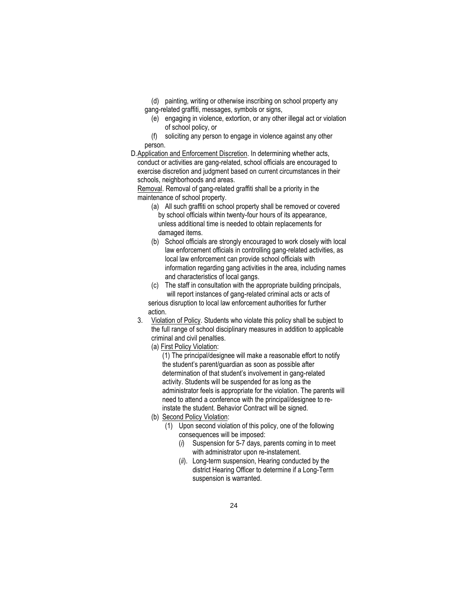- (d) painting, writing or otherwise inscribing on school property any
- gang-related graffiti, messages, symbols or signs,
	- (e) engaging in violence, extortion, or any other illegal act or violation of school policy, or
- (f) soliciting any person to engage in violence against any other person.
- D.Application and Enforcement Discretion. In determining whether acts, conduct or activities are gang-related, school officials are encouraged to exercise discretion and judgment based on current circumstances in their schools, neighborhoods and areas.

Removal. Removal of gang-related graffiti shall be a priority in the maintenance of school property.

- (a) All such graffiti on school property shall be removed or covered by school officials within twenty-four hours of its appearance, unless additional time is needed to obtain replacements for damaged items.
- (b) School officials are strongly encouraged to work closely with local law enforcement officials in controlling gang-related activities, as local law enforcement can provide school officials with information regarding gang activities in the area, including names and characteristics of local gangs.
- (c) The staff in consultation with the appropriate building principals, will report instances of gang-related criminal acts or acts of serious disruption to local law enforcement authorities for further
- action.
- 3. Violation of Policy. Students who violate this policy shall be subject to the full range of school disciplinary measures in addition to applicable criminal and civil penalties.
	- (a) First Policy Violation:

(1) The principal/designee will make a reasonable effort to notify the student's parent/guardian as soon as possible after determination of that student's involvement in gang-related activity. Students will be suspended for as long as the administrator feels is appropriate for the violation. The parents will need to attend a conference with the principal/designee to reinstate the student. Behavior Contract will be signed.

- (b) Second Policy Violation:
	- (1) Upon second violation of this policy, one of the following consequences will be imposed:
		- (*i*) Suspension for 5-7 days, parents coming in to meet with administrator upon re-instatement.
		- (*ii*). Long-term suspension, Hearing conducted by the district Hearing Officer to determine if a Long-Term suspension is warranted.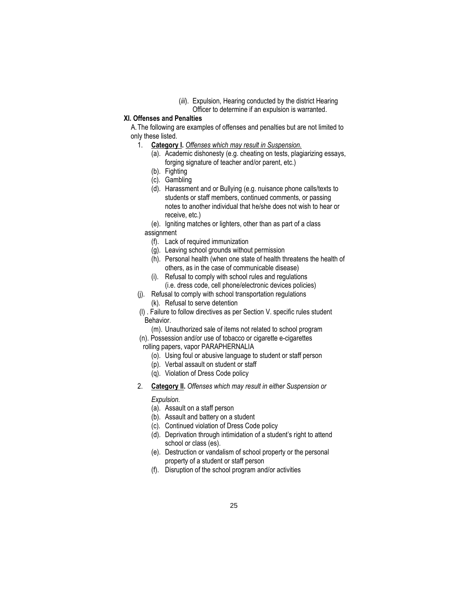(*iii*). Expulsion, Hearing conducted by the district Hearing Officer to determine if an expulsion is warranted.

# **XI. Offenses and Penalties**

A.The following are examples of offenses and penalties but are not limited to only these listed.

- 1. **Category I.** *Offenses which may result in Suspension.*
	- (a). Academic dishonesty (e.g. cheating on tests, plagiarizing essays, forging signature of teacher and/or parent, etc.)
	- (b). Fighting
	- (c). Gambling
	- (d). Harassment and or Bullying (e.g. nuisance phone calls/texts to students or staff members, continued comments, or passing notes to another individual that he/she does not wish to hear or receive, etc.)

(e). Igniting matches or lighters, other than as part of a class assignment

- (f). Lack of required immunization
- (g). Leaving school grounds without permission
- (h). Personal health (when one state of health threatens the health of others, as in the case of communicable disease)
- (i). Refusal to comply with school rules and regulations (i.e. dress code, cell phone/electronic devices policies)
- (j). Refusal to comply with school transportation regulations
	- (k). Refusal to serve detention

 (l) . Failure to follow directives as per Section V. specific rules student Behavior.

(m). Unauthorized sale of items not related to school program

 (n). Possession and/or use of tobacco or cigarette e-cigarettes rolling papers, vapor PARAPHERNALIA

- (o). Using foul or abusive language to student or staff person
- (p). Verbal assault on student or staff
- (q). Violation of Dress Code policy
- 2. **Category II.** *Offenses which may result in either Suspension or*

### *Expulsion.*

- (a). Assault on a staff person
- (b). Assault and battery on a student
- (c). Continued violation of Dress Code policy
- (d). Deprivation through intimidation of a student's right to attend school or class (es).
- (e). Destruction or vandalism of school property or the personal property of a student or staff person
- (f). Disruption of the school program and/or activities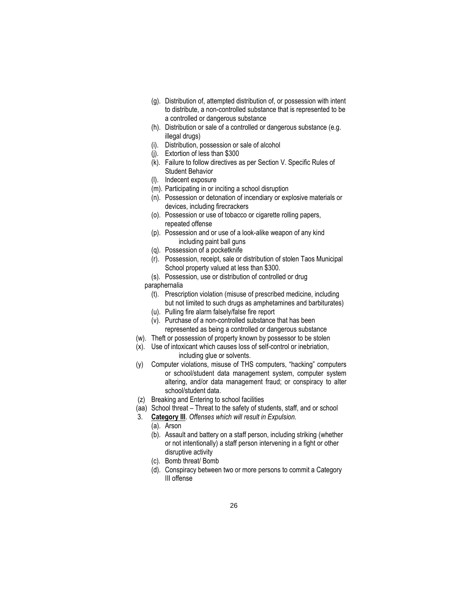- (g). Distribution of, attempted distribution of, or possession with intent to distribute, a non-controlled substance that is represented to be a controlled or dangerous substance
- (h). Distribution or sale of a controlled or dangerous substance (e.g. illegal drugs)
- (i). Distribution, possession or sale of alcohol
- (j). Extortion of less than \$300
- (k). Failure to follow directives as per Section V. Specific Rules of Student Behavior
- (l). Indecent exposure
- (m). Participating in or inciting a school disruption
- (n). Possession or detonation of incendiary or explosive materials or devices, including firecrackers
- (o). Possession or use of tobacco or cigarette rolling papers, repeated offense
- (p). Possession and or use of a look-alike weapon of any kind including paint ball guns
- (q). Possession of a pocketknife
- (r). Possession, receipt, sale or distribution of stolen Taos Municipal School property valued at less than \$300.
- (s). Possession, use or distribution of controlled or drug
- paraphernalia
	- (t). Prescription violation (misuse of prescribed medicine, including but not limited to such drugs as amphetamines and barbiturates)
	- (u). Pulling fire alarm falsely/false fire report
	- (v). Purchase of a non-controlled substance that has been represented as being a controlled or dangerous substance
- (w). Theft or possession of property known by possessor to be stolen
- (x). Use of intoxicant which causes loss of self-control or inebriation, including glue or solvents.
- (y) Computer violations, misuse of THS computers, "hacking" computers or school/student data management system, computer system altering, and/or data management fraud; or conspiracy to alter school/student data.
- (z) Breaking and Entering to school facilities
- (aa) School threat Threat to the safety of students, staff, and or school
- 3. **Category III**. *Offenses which will result in Expulsion.*
	- (a). Arson
	- (b). Assault and battery on a staff person, including striking (whether or not intentionally) a staff person intervening in a fight or other disruptive activity
	- (c). Bomb threat/ Bomb
	- (d). Conspiracy between two or more persons to commit a Category III offense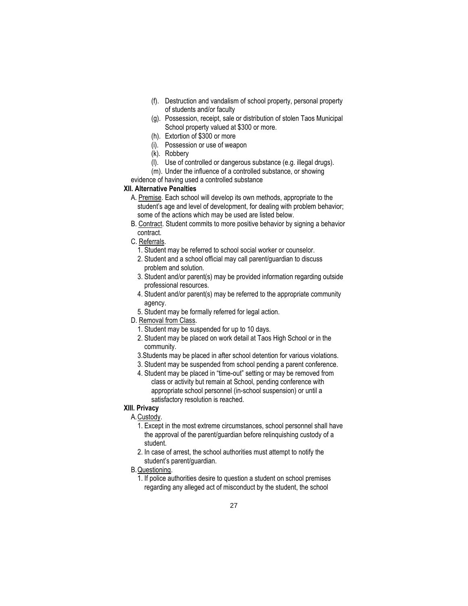- (f). Destruction and vandalism of school property, personal property of students and/or faculty
- (g). Possession, receipt, sale or distribution of stolen Taos Municipal School property valued at \$300 or more.
- (h). Extortion of \$300 or more
- (i). Possession or use of weapon
- (k). Robbery
- (l). Use of controlled or dangerous substance (e.g. illegal drugs).
- (m). Under the influence of a controlled substance, or showing

evidence of having used a controlled substance

# **XII. Alternative Penalties**

- A. Premise. Each school will develop its own methods, appropriate to the student's age and level of development, for dealing with problem behavior; some of the actions which may be used are listed below.
- B. Contract. Student commits to more positive behavior by signing a behavior contract.
- C. Referrals.
	- 1. Student may be referred to school social worker or counselor.
	- 2. Student and a school official may call parent/guardian to discuss problem and solution.
	- 3. Student and/or parent(s) may be provided information regarding outside professional resources.
	- 4. Student and/or parent(s) may be referred to the appropriate community agency.
	- 5. Student may be formally referred for legal action.
- D. Removal from Class.
	- 1. Student may be suspended for up to 10 days.
	- 2. Student may be placed on work detail at Taos High School or in the community.
	- 3.Students may be placed in after school detention for various violations.
	- 3. Student may be suspended from school pending a parent conference.
	- 4. Student may be placed in "time-out" setting or may be removed from class or activity but remain at School, pending conference with appropriate school personnel (in-school suspension) or until a satisfactory resolution is reached.

# **XIII. Privacy**

- A.Custody.
	- 1. Except in the most extreme circumstances, school personnel shall have the approval of the parent/guardian before relinquishing custody of a student.
	- 2. In case of arrest, the school authorities must attempt to notify the student's parent/guardian.
- B.Questioning.
	- 1. If police authorities desire to question a student on school premises regarding any alleged act of misconduct by the student, the school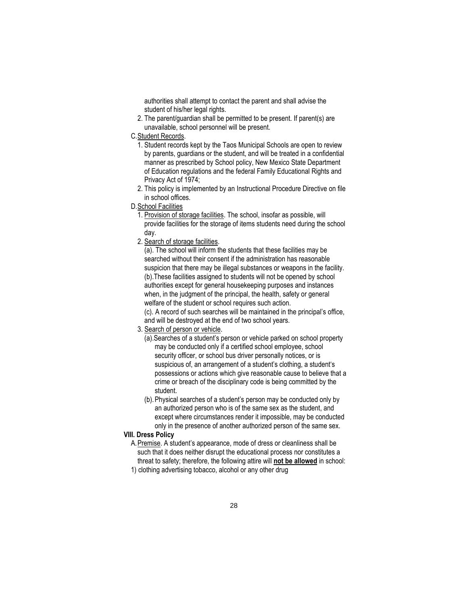authorities shall attempt to contact the parent and shall advise the student of his/her legal rights.

2. The parent/guardian shall be permitted to be present. If parent(s) are unavailable, school personnel will be present.

### C.Student Records.

- 1. Student records kept by the Taos Municipal Schools are open to review by parents, guardians or the student, and will be treated in a confidential manner as prescribed by School policy, New Mexico State Department of Education regulations and the federal Family Educational Rights and Privacy Act of 1974;
- 2. This policy is implemented by an Instructional Procedure Directive on file in school offices.
- D.School Facilities
	- 1. Provision of storage facilities. The school, insofar as possible, will provide facilities for the storage of items students need during the school day.
	- 2. Search of storage facilities.

(a). The school will inform the students that these facilities may be searched without their consent if the administration has reasonable suspicion that there may be illegal substances or weapons in the facility. (b).These facilities assigned to students will not be opened by school authorities except for general housekeeping purposes and instances when, in the judgment of the principal, the health, safety or general welfare of the student or school requires such action. (c). A record of such searches will be maintained in the principal's office, and will be destroyed at the end of two school years.

- 3. Search of person or vehicle.
	- (a).Searches of a student's person or vehicle parked on school property may be conducted only if a certified school employee, school security officer, or school bus driver personally notices, or is suspicious of, an arrangement of a student's clothing, a student's possessions or actions which give reasonable cause to believe that a crime or breach of the disciplinary code is being committed by the student.
	- (b).Physical searches of a student's person may be conducted only by an authorized person who is of the same sex as the student, and except where circumstances render it impossible, may be conducted only in the presence of another authorized person of the same sex.

# **VIII. Dress Policy**

- A.Premise. A student's appearance, mode of dress or cleanliness shall be such that it does neither disrupt the educational process nor constitutes a threat to safety; therefore, the following attire will **not be allowed** in school:
- 1) clothing advertising tobacco, alcohol or any other drug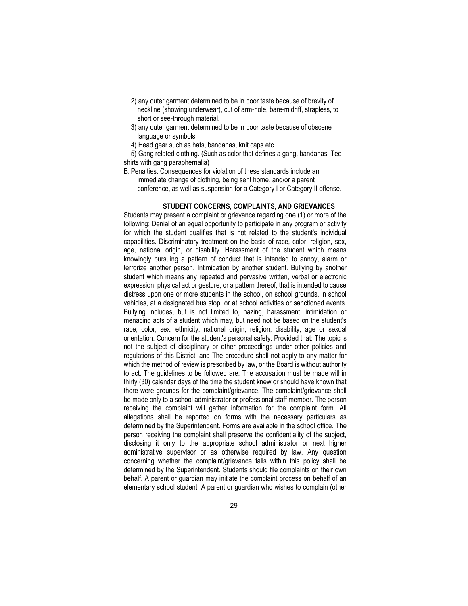- 2) any outer garment determined to be in poor taste because of brevity of neckline (showing underwear), cut of arm-hole, bare-midriff, strapless, to short or see-through material.
- 3) any outer garment determined to be in poor taste because of obscene language or symbols.
- 4) Head gear such as hats, bandanas, knit caps etc.…

5) Gang related clothing. (Such as color that defines a gang, bandanas, Tee shirts with gang paraphernalia)

B. Penalties. Consequences for violation of these standards include an immediate change of clothing, being sent home, and/or a parent conference, as well as suspension for a Category I or Category II offense.

### **STUDENT CONCERNS, COMPLAINTS, AND GRIEVANCES**

Students may present a complaint or grievance regarding one (1) or more of the following: Denial of an equal opportunity to participate in any program or activity for which the student qualifies that is not related to the student's individual capabilities. Discriminatory treatment on the basis of race, color, religion, sex, age, national origin, or disability. Harassment of the student which means knowingly pursuing a pattern of conduct that is intended to annoy, alarm or terrorize another person. Intimidation by another student. Bullying by another student which means any repeated and pervasive written, verbal or electronic expression, physical act or gesture, or a pattern thereof, that is intended to cause distress upon one or more students in the school, on school grounds, in school vehicles, at a designated bus stop, or at school activities or sanctioned events. Bullying includes, but is not limited to, hazing, harassment, intimidation or menacing acts of a student which may, but need not be based on the student's race, color, sex, ethnicity, national origin, religion, disability, age or sexual orientation. Concern for the student's personal safety. Provided that: The topic is not the subject of disciplinary or other proceedings under other policies and regulations of this District; and The procedure shall not apply to any matter for which the method of review is prescribed by law, or the Board is without authority to act. The guidelines to be followed are: The accusation must be made within thirty (30) calendar days of the time the student knew or should have known that there were grounds for the complaint/grievance. The complaint/grievance shall be made only to a school administrator or professional staff member. The person receiving the complaint will gather information for the complaint form. All allegations shall be reported on forms with the necessary particulars as determined by the Superintendent. Forms are available in the school office. The person receiving the complaint shall preserve the confidentiality of the subject, disclosing it only to the appropriate school administrator or next higher administrative supervisor or as otherwise required by law. Any question concerning whether the complaint/grievance falls within this policy shall be determined by the Superintendent. Students should file complaints on their own behalf. A parent or guardian may initiate the complaint process on behalf of an elementary school student. A parent or guardian who wishes to complain (other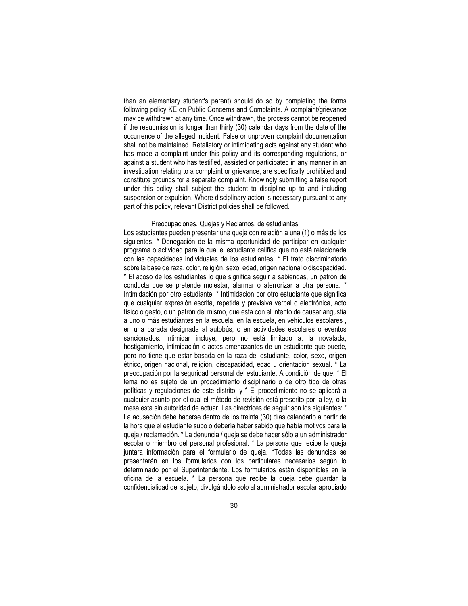than an elementary student's parent) should do so by completing the forms following policy KE on Public Concerns and Complaints. A complaint/grievance may be withdrawn at any time. Once withdrawn, the process cannot be reopened if the resubmission is longer than thirty (30) calendar days from the date of the occurrence of the alleged incident. False or unproven complaint documentation shall not be maintained. Retaliatory or intimidating acts against any student who has made a complaint under this policy and its corresponding regulations, or against a student who has testified, assisted or participated in any manner in an investigation relating to a complaint or grievance, are specifically prohibited and constitute grounds for a separate complaint. Knowingly submitting a false report under this policy shall subject the student to discipline up to and including suspension or expulsion. Where disciplinary action is necessary pursuant to any part of this policy, relevant District policies shall be followed.

#### Preocupaciones, Quejas y Reclamos, de estudiantes.

Los estudiantes pueden presentar una queja con relación a una (1) o más de los siguientes. \* Denegación de la misma oportunidad de participar en cualquier programa o actividad para la cual el estudiante califica que no está relacionada con las capacidades individuales de los estudiantes. \* El trato discriminatorio sobre la base de raza, color, religión, sexo, edad, origen nacional o discapacidad. \* El acoso de los estudiantes lo que significa seguir a sabiendas, un patrón de conducta que se pretende molestar, alarmar o aterrorizar a otra persona. \* Intimidación por otro estudiante. \* Intimidación por otro estudiante que significa que cualquier expresión escrita, repetida y previsiva verbal o electrónica, acto físico o gesto, o un patrón del mismo, que esta con el intento de causar angustia a uno o más estudiantes en la escuela, en la escuela, en vehículos escolares , en una parada designada al autobús, o en actividades escolares o eventos sancionados. Intimidar incluye, pero no está limitado a, la novatada, hostigamiento, intimidación o actos amenazantes de un estudiante que puede, pero no tiene que estar basada en la raza del estudiante, color, sexo, origen étnico, origen nacional, religión, discapacidad, edad u orientación sexual. \* La preocupación por la seguridad personal del estudiante. A condición de que: \* El tema no es sujeto de un procedimiento disciplinario o de otro tipo de otras políticas y regulaciones de este distrito; y \* El procedimiento no se aplicará a cualquier asunto por el cual el método de revisión está prescrito por la ley, o la mesa esta sin autoridad de actuar. Las directrices de seguir son los siguientes: \* La acusación debe hacerse dentro de los treinta (30) días calendario a partir de la hora que el estudiante supo o debería haber sabido que había motivos para la queja / reclamación. \* La denuncia / queja se debe hacer sólo a un administrador escolar o miembro del personal profesional. \* La persona que recibe la queja juntara información para el formulario de queja. \*Todas las denuncias se presentarán en los formularios con los particulares necesarios según lo determinado por el Superintendente. Los formularios están disponibles en la oficina de la escuela. \* La persona que recibe la queja debe guardar la confidencialidad del sujeto, divulgándolo solo al administrador escolar apropiado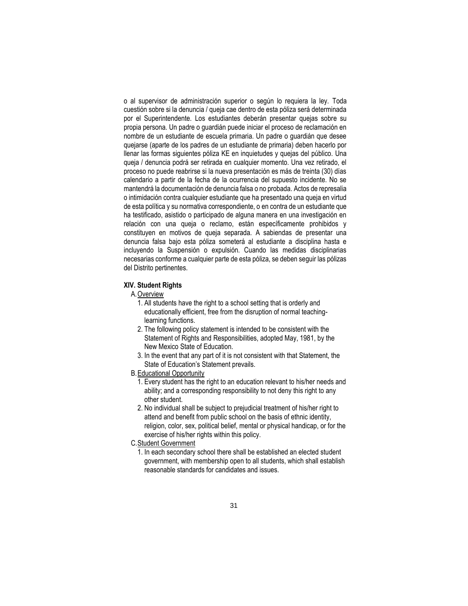o al supervisor de administración superior o según lo requiera la ley. Toda cuestión sobre si la denuncia / queja cae dentro de esta póliza será determinada por el Superintendente. Los estudiantes deberán presentar quejas sobre su propia persona. Un padre o guardián puede iniciar el proceso de reclamación en nombre de un estudiante de escuela primaria. Un padre o guardián que desee quejarse (aparte de los padres de un estudiante de primaria) deben hacerlo por llenar las formas siguientes póliza KE en inquietudes y quejas del público. Una queja / denuncia podrá ser retirada en cualquier momento. Una vez retirado, el proceso no puede reabrirse si la nueva presentación es más de treinta (30) días calendario a partir de la fecha de la ocurrencia del supuesto incidente. No se mantendrá la documentación de denuncia falsa o no probada. Actos de represalia o intimidación contra cualquier estudiante que ha presentado una queja en virtud de esta política y su normativa correspondiente, o en contra de un estudiante que ha testificado, asistido o participado de alguna manera en una investigación en relación con una queja o reclamo, están específicamente prohibidos y constituyen en motivos de queja separada. A sabiendas de presentar una denuncia falsa bajo esta póliza someterá al estudiante a disciplina hasta e incluyendo la Suspensión o expulsión. Cuando las medidas disciplinarias necesarias conforme a cualquier parte de esta póliza, se deben seguir las pólizas del Distrito pertinentes.

### **XIV. Student Rights**

#### A.Overview

- 1. All students have the right to a school setting that is orderly and educationally efficient, free from the disruption of normal teachinglearning functions.
- 2. The following policy statement is intended to be consistent with the Statement of Rights and Responsibilities, adopted May, 1981, by the New Mexico State of Education.
- 3. In the event that any part of it is not consistent with that Statement, the State of Education's Statement prevails.
- B.Educational Opportunity
	- 1. Every student has the right to an education relevant to his/her needs and ability; and a corresponding responsibility to not deny this right to any other student.
	- 2. No individual shall be subject to prejudicial treatment of his/her right to attend and benefit from public school on the basis of ethnic identity, religion, color, sex, political belief, mental or physical handicap, or for the exercise of his/her rights within this policy.
- C.Student Government
	- 1. In each secondary school there shall be established an elected student government, with membership open to all students, which shall establish reasonable standards for candidates and issues.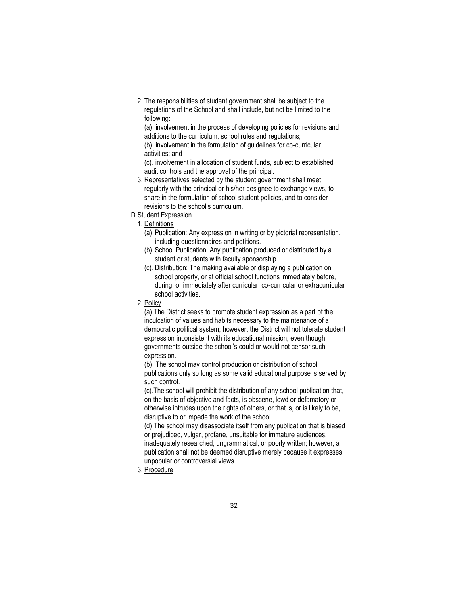2. The responsibilities of student government shall be subject to the regulations of the School and shall include, but not be limited to the following:

(a). involvement in the process of developing policies for revisions and additions to the curriculum, school rules and regulations; (b). involvement in the formulation of guidelines for co-curricular

activities; and

(c). involvement in allocation of student funds, subject to established audit controls and the approval of the principal.

- 3. Representatives selected by the student government shall meet regularly with the principal or his/her designee to exchange views, to share in the formulation of school student policies, and to consider revisions to the school's curriculum.
- D.Student Expression

1. Definitions

- (a).Publication: Any expression in writing or by pictorial representation, including questionnaires and petitions.
- (b).School Publication: Any publication produced or distributed by a student or students with faculty sponsorship.
- (c). Distribution: The making available or displaying a publication on school property, or at official school functions immediately before, during, or immediately after curricular, co-curricular or extracurricular school activities.
- 2. Policy

(a).The District seeks to promote student expression as a part of the inculcation of values and habits necessary to the maintenance of a democratic political system; however, the District will not tolerate student expression inconsistent with its educational mission, even though governments outside the school's could or would not censor such expression.

(b). The school may control production or distribution of school publications only so long as some valid educational purpose is served by such control.

(c).The school will prohibit the distribution of any school publication that, on the basis of objective and facts, is obscene, lewd or defamatory or otherwise intrudes upon the rights of others, or that is, or is likely to be, disruptive to or impede the work of the school.

(d).The school may disassociate itself from any publication that is biased or prejudiced, vulgar, profane, unsuitable for immature audiences, inadequately researched, ungrammatical, or poorly written; however, a publication shall not be deemed disruptive merely because it expresses unpopular or controversial views.

3. Procedure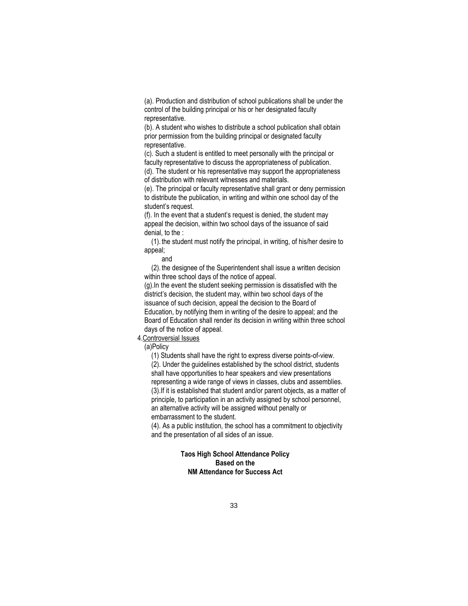(a). Production and distribution of school publications shall be under the control of the building principal or his or her designated faculty representative.

(b). A student who wishes to distribute a school publication shall obtain prior permission from the building principal or designated faculty representative.

(c). Such a student is entitled to meet personally with the principal or faculty representative to discuss the appropriateness of publication. (d). The student or his representative may support the appropriateness of distribution with relevant witnesses and materials.

(e). The principal or faculty representative shall grant or deny permission to distribute the publication, in writing and within one school day of the student's request.

(f). In the event that a student's request is denied, the student may appeal the decision, within two school days of the issuance of said denial, to the :

(1). the student must notify the principal, in writing, of his/her desire to appeal;

#### and

(2). the designee of the Superintendent shall issue a written decision within three school days of the notice of appeal.

(g).In the event the student seeking permission is dissatisfied with the district's decision, the student may, within two school days of the issuance of such decision, appeal the decision to the Board of Education, by notifying them in writing of the desire to appeal; and the Board of Education shall render its decision in writing within three school days of the notice of appeal.

# 4.Controversial Issues

(a)Policy

(1) Students shall have the right to express diverse points-of-view. (2). Under the guidelines established by the school district, students shall have opportunities to hear speakers and view presentations representing a wide range of views in classes, clubs and assemblies. (3).If it is established that student and/or parent objects, as a matter of principle, to participation in an activity assigned by school personnel, an alternative activity will be assigned without penalty or embarrassment to the student.

(4). As a public institution, the school has a commitment to objectivity and the presentation of all sides of an issue.

# **Taos High School Attendance Policy Based on the NM Attendance for Success Act**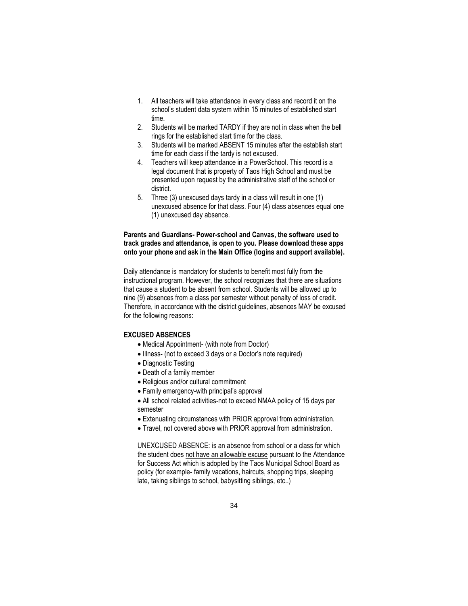- 1. All teachers will take attendance in every class and record it on the school's student data system within 15 minutes of established start time.
- 2. Students will be marked TARDY if they are not in class when the bell rings for the established start time for the class.
- 3. Students will be marked ABSENT 15 minutes after the establish start time for each class if the tardy is not excused.
- 4. Teachers will keep attendance in a PowerSchool. This record is a legal document that is property of Taos High School and must be presented upon request by the administrative staff of the school or district.
- 5. Three (3) unexcused days tardy in a class will result in one (1) unexcused absence for that class. Four (4) class absences equal one (1) unexcused day absence.

### **Parents and Guardians- Power-school and Canvas, the software used to track grades and attendance, is open to you. Please download these apps onto your phone and ask in the Main Office (logins and support available).**

Daily attendance is mandatory for students to benefit most fully from the instructional program. However, the school recognizes that there are situations that cause a student to be absent from school. Students will be allowed up to nine (9) absences from a class per semester without penalty of loss of credit. Therefore, in accordance with the district guidelines, absences MAY be excused for the following reasons:

### **EXCUSED ABSENCES**

- Medical Appointment- (with note from Doctor)
- Illness- (not to exceed 3 days or a Doctor's note required)
- Diagnostic Testing
- Death of a family member
- Religious and/or cultural commitment
- Family emergency-with principal's approval
- All school related activities-not to exceed NMAA policy of 15 days per semester
- Extenuating circumstances with PRIOR approval from administration.
- Travel, not covered above with PRIOR approval from administration.

UNEXCUSED ABSENCE: is an absence from school or a class for which the student does not have an allowable excuse pursuant to the Attendance for Success Act which is adopted by the Taos Municipal School Board as policy (for example- family vacations, haircuts, shopping trips, sleeping late, taking siblings to school, babysitting siblings, etc..)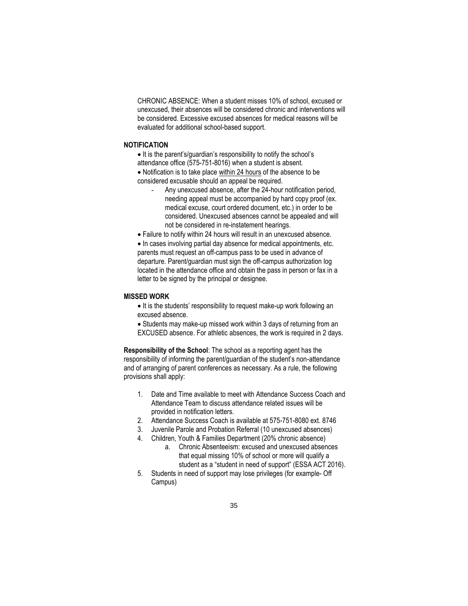CHRONIC ABSENCE: When a student misses 10% of school, excused or unexcused, their absences will be considered chronic and interventions will be considered. Excessive excused absences for medical reasons will be evaluated for additional school-based support.

### **NOTIFICATION**

• It is the parent's/guardian's responsibility to notify the school's attendance office (575-751-8016) when a student is absent.

• Notification is to take place within 24 hours of the absence to be considered excusable should an appeal be required.

Any unexcused absence, after the 24-hour notification period, needing appeal must be accompanied by hard copy proof (ex. medical excuse, court ordered document, etc.) in order to be considered. Unexcused absences cannot be appealed and will not be considered in re-instatement hearings.

• Failure to notify within 24 hours will result in an unexcused absence.

• In cases involving partial day absence for medical appointments, etc. parents must request an off-campus pass to be used in advance of departure. Parent/guardian must sign the off-campus authorization log located in the attendance office and obtain the pass in person or fax in a letter to be signed by the principal or designee.

#### **MISSED WORK**

• It is the students' responsibility to request make-up work following an excused absence.

• Students may make-up missed work within 3 days of returning from an EXCUSED absence. For athletic absences, the work is required in 2 days.

**Responsibility of the School**: The school as a reporting agent has the responsibility of informing the parent/guardian of the student's non-attendance and of arranging of parent conferences as necessary. As a rule, the following provisions shall apply:

- 1. Date and Time available to meet with Attendance Success Coach and Attendance Team to discuss attendance related issues will be provided in notification letters.
- 2. Attendance Success Coach is available at 575-751-8080 ext. 8746
- 3. Juvenile Parole and Probation Referral (10 unexcused absences)
- 4. Children, Youth & Families Department (20% chronic absence)
	- a. Chronic Absenteeism: excused and unexcused absences that equal missing 10% of school or more will qualify a student as a "student in need of support" (ESSA ACT 2016).
- 5. Students in need of support may lose privileges (for example- Off Campus)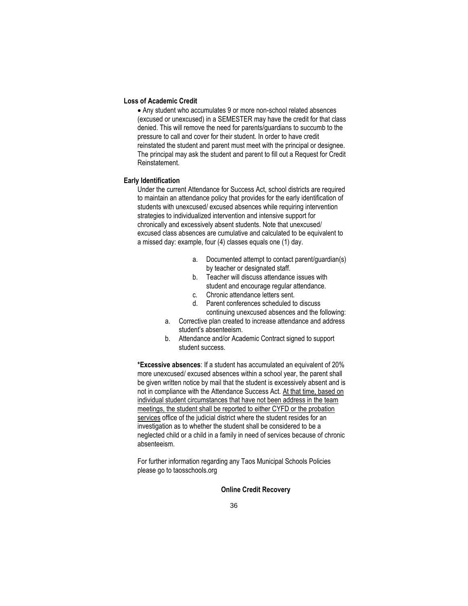#### **Loss of Academic Credit**

• Any student who accumulates 9 or more non-school related absences (excused or unexcused) in a SEMESTER may have the credit for that class denied. This will remove the need for parents/guardians to succumb to the pressure to call and cover for their student. In order to have credit reinstated the student and parent must meet with the principal or designee. The principal may ask the student and parent to fill out a Request for Credit Reinstatement.

### **Early Identification**

Under the current Attendance for Success Act, school districts are required to maintain an attendance policy that provides for the early identification of students with unexcused/ excused absences while requiring intervention strategies to individualized intervention and intensive support for chronically and excessively absent students. Note that unexcused/ excused class absences are cumulative and calculated to be equivalent to a missed day: example, four (4) classes equals one (1) day.

- a. Documented attempt to contact parent/guardian(s) by teacher or designated staff.
- b. Teacher will discuss attendance issues with student and encourage regular attendance.
- c. Chronic attendance letters sent.
- d. Parent conferences scheduled to discuss continuing unexcused absences and the following:
- a. Corrective plan created to increase attendance and address student's absenteeism.
- b. Attendance and/or Academic Contract signed to support student success.

**\*Excessive absences**: If a student has accumulated an equivalent of 20% more unexcused/ excused absences within a school year, the parent shall be given written notice by mail that the student is excessively absent and is not in compliance with the Attendance Success Act. At that time, based on individual student circumstances that have not been address in the team meetings, the student shall be reported to either CYFD or the probation services office of the judicial district where the student resides for an investigation as to whether the student shall be considered to be a neglected child or a child in a family in need of services because of chronic absenteeism.

For further information regarding any Taos Municipal Schools Policies please go to taosschools.org

### **Online Credit Recovery**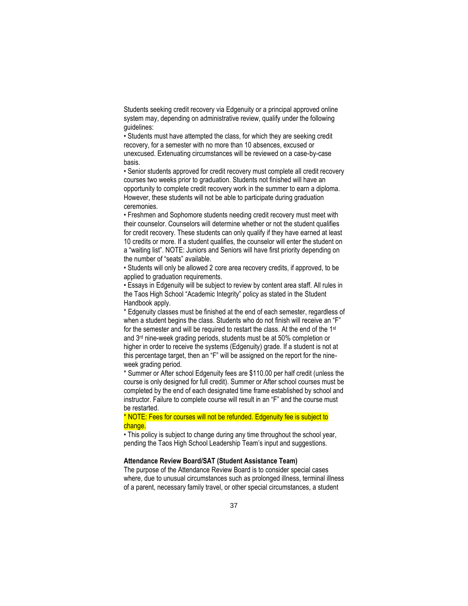Students seeking credit recovery via Edgenuity or a principal approved online system may, depending on administrative review, qualify under the following guidelines:

• Students must have attempted the class, for which they are seeking credit recovery, for a semester with no more than 10 absences, excused or unexcused. Extenuating circumstances will be reviewed on a case-by-case basis.

• Senior students approved for credit recovery must complete all credit recovery courses two weeks prior to graduation. Students not finished will have an opportunity to complete credit recovery work in the summer to earn a diploma. However, these students will not be able to participate during graduation ceremonies.

• Freshmen and Sophomore students needing credit recovery must meet with their counselor. Counselors will determine whether or not the student qualifies for credit recovery. These students can only qualify if they have earned at least 10 credits or more. If a student qualifies, the counselor will enter the student on a "waiting list". NOTE: Juniors and Seniors will have first priority depending on the number of "seats" available.

• Students will only be allowed 2 core area recovery credits, if approved, to be applied to graduation requirements.

• Essays in Edgenuity will be subject to review by content area staff. All rules in the Taos High School "Academic Integrity" policy as stated in the Student Handbook apply.

\* Edgenuity classes must be finished at the end of each semester, regardless of when a student begins the class. Students who do not finish will receive an "F" for the semester and will be required to restart the class. At the end of the 1<sup>st</sup> and 3rd nine-week grading periods, students must be at 50% completion or higher in order to receive the systems (Edgenuity) grade. If a student is not at this percentage target, then an "F" will be assigned on the report for the nineweek grading period.

\* Summer or After school Edgenuity fees are \$110.00 per half credit (unless the course is only designed for full credit). Summer or After school courses must be completed by the end of each designated time frame established by school and instructor. Failure to complete course will result in an "F" and the course must be restarted.

# \* NOTE: Fees for courses will not be refunded. Edgenuity fee is subject to change.

• This policy is subject to change during any time throughout the school year, pending the Taos High School Leadership Team's input and suggestions.

#### **Attendance Review Board/SAT (Student Assistance Team)**

The purpose of the Attendance Review Board is to consider special cases where, due to unusual circumstances such as prolonged illness, terminal illness of a parent, necessary family travel, or other special circumstances, a student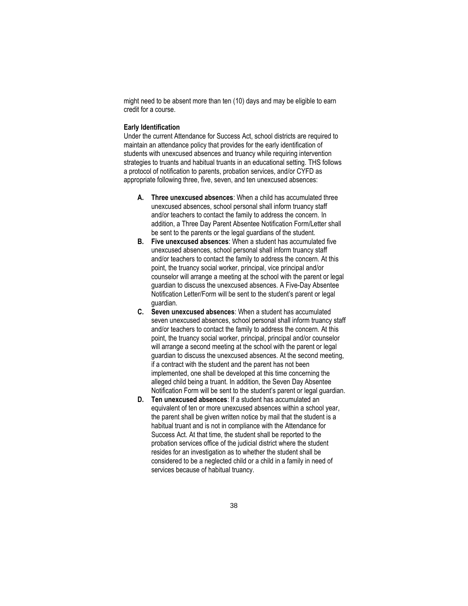might need to be absent more than ten (10) days and may be eligible to earn credit for a course.

#### **Early Identification**

Under the current Attendance for Success Act, school districts are required to maintain an attendance policy that provides for the early identification of students with unexcused absences and truancy while requiring intervention strategies to truants and habitual truants in an educational setting. THS follows a protocol of notification to parents, probation services, and/or CYFD as appropriate following three, five, seven, and ten unexcused absences:

- **A. Three unexcused absences**: When a child has accumulated three unexcused absences, school personal shall inform truancy staff and/or teachers to contact the family to address the concern. In addition, a Three Day Parent Absentee Notification Form/Letter shall be sent to the parents or the legal guardians of the student.
- **B. Five unexcused absences**: When a student has accumulated five unexcused absences, school personal shall inform truancy staff and/or teachers to contact the family to address the concern. At this point, the truancy social worker, principal, vice principal and/or counselor will arrange a meeting at the school with the parent or legal guardian to discuss the unexcused absences. A Five-Day Absentee Notification Letter/Form will be sent to the student's parent or legal guardian.
- **C. Seven unexcused absences**: When a student has accumulated seven unexcused absences, school personal shall inform truancy staff and/or teachers to contact the family to address the concern. At this point, the truancy social worker, principal, principal and/or counselor will arrange a second meeting at the school with the parent or legal guardian to discuss the unexcused absences. At the second meeting, if a contract with the student and the parent has not been implemented, one shall be developed at this time concerning the alleged child being a truant. In addition, the Seven Day Absentee Notification Form will be sent to the student's parent or legal guardian.
- **D. Ten unexcused absences**: If a student has accumulated an equivalent of ten or more unexcused absences within a school year, the parent shall be given written notice by mail that the student is a habitual truant and is not in compliance with the Attendance for Success Act. At that time, the student shall be reported to the probation services office of the judicial district where the student resides for an investigation as to whether the student shall be considered to be a neglected child or a child in a family in need of services because of habitual truancy.